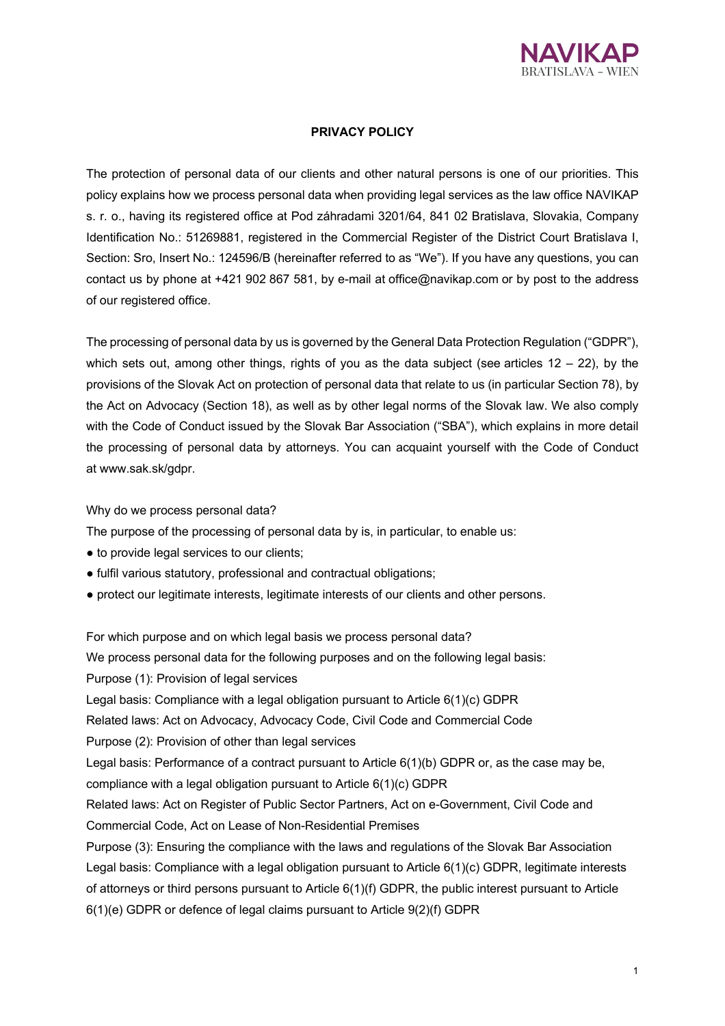

# **PRIVACY POLICY**

The protection of personal data of our clients and other natural persons is one of our priorities. This policy explains how we process personal data when providing legal services as the law office NAVIKAP s. r. o., having its registered office at Pod záhradami 3201/64, 841 02 Bratislava, Slovakia, Company Identification No.: 51269881, registered in the Commercial Register of the District Court Bratislava I, Section: Sro, Insert No.: 124596/B (hereinafter referred to as "We"). If you have any questions, you can contact us by phone at +421 902 867 581, by e-mail at office@navikap.com or by post to the address of our registered office.

The processing of personal data by us is governed by the General Data Protection Regulation ("GDPR"), which sets out, among other things, rights of you as the data subject (see articles  $12 - 22$ ), by the provisions of the Slovak Act on protection of personal data that relate to us (in particular Section 78), by the Act on Advocacy (Section 18), as well as by other legal norms of the Slovak law. We also comply with the Code of Conduct issued by the Slovak Bar Association ("SBA"), which explains in more detail the processing of personal data by attorneys. You can acquaint yourself with the Code of Conduct at www.sak.sk/gdpr.

Why do we process personal data?

The purpose of the processing of personal data by is, in particular, to enable us:

- to provide legal services to our clients;
- fulfil various statutory, professional and contractual obligations;
- protect our legitimate interests, legitimate interests of our clients and other persons.

For which purpose and on which legal basis we process personal data? We process personal data for the following purposes and on the following legal basis: Purpose (1): Provision of legal services Legal basis: Compliance with a legal obligation pursuant to Article 6(1)(c) GDPR Related laws: Act on Advocacy, Advocacy Code, Civil Code and Commercial Code Purpose (2): Provision of other than legal services Legal basis: Performance of a contract pursuant to Article 6(1)(b) GDPR or, as the case may be, compliance with a legal obligation pursuant to Article 6(1)(c) GDPR Related laws: Act on Register of Public Sector Partners, Act on e-Government, Civil Code and Commercial Code, Act on Lease of Non-Residential Premises Purpose (3): Ensuring the compliance with the laws and regulations of the Slovak Bar Association Legal basis: Compliance with a legal obligation pursuant to Article 6(1)(c) GDPR, legitimate interests of attorneys or third persons pursuant to Article 6(1)(f) GDPR, the public interest pursuant to Article 6(1)(e) GDPR or defence of legal claims pursuant to Article 9(2)(f) GDPR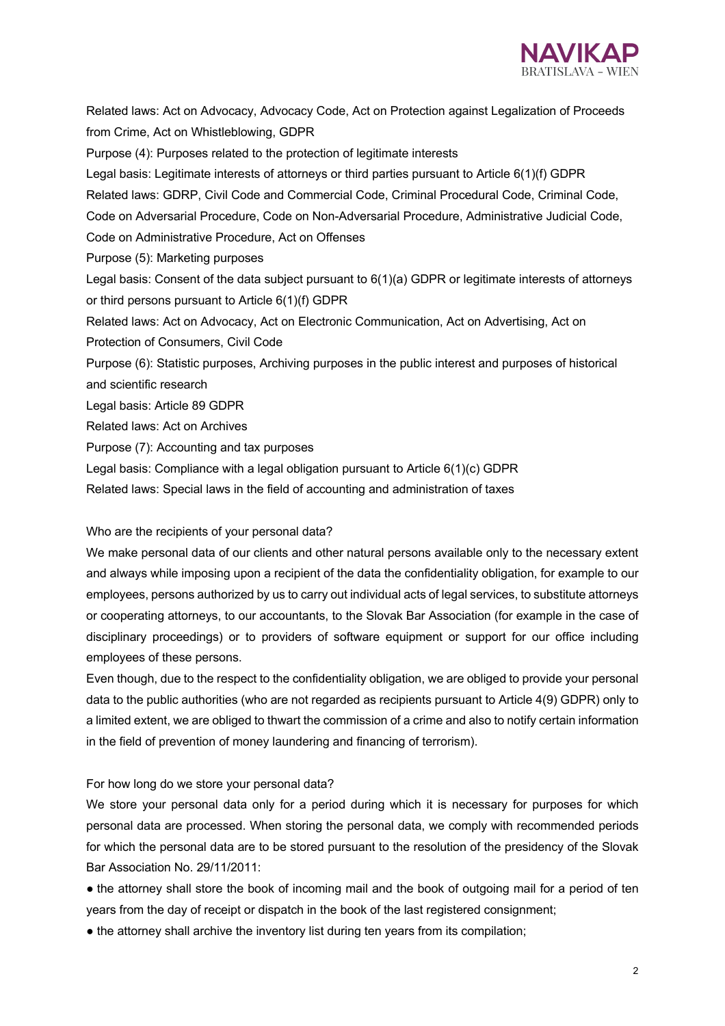

Related laws: Act on Advocacy, Advocacy Code, Act on Protection against Legalization of Proceeds from Crime, Act on Whistleblowing, GDPR Purpose (4): Purposes related to the protection of legitimate interests Legal basis: Legitimate interests of attorneys or third parties pursuant to Article 6(1)(f) GDPR Related laws: GDRP, Civil Code and Commercial Code, Criminal Procedural Code, Criminal Code, Code on Adversarial Procedure, Code on Non-Adversarial Procedure, Administrative Judicial Code, Code on Administrative Procedure, Act on Offenses Purpose (5): Marketing purposes Legal basis: Consent of the data subject pursuant to 6(1)(a) GDPR or legitimate interests of attorneys or third persons pursuant to Article 6(1)(f) GDPR Related laws: Act on Advocacy, Act on Electronic Communication, Act on Advertising, Act on Protection of Consumers, Civil Code Purpose (6): Statistic purposes, Archiving purposes in the public interest and purposes of historical and scientific research Legal basis: Article 89 GDPR Related laws: Act on Archives Purpose (7): Accounting and tax purposes Legal basis: Compliance with a legal obligation pursuant to Article 6(1)(c) GDPR Related laws: Special laws in the field of accounting and administration of taxes

# Who are the recipients of your personal data?

We make personal data of our clients and other natural persons available only to the necessary extent and always while imposing upon a recipient of the data the confidentiality obligation, for example to our employees, persons authorized by us to carry out individual acts of legal services, to substitute attorneys or cooperating attorneys, to our accountants, to the Slovak Bar Association (for example in the case of disciplinary proceedings) or to providers of software equipment or support for our office including employees of these persons.

Even though, due to the respect to the confidentiality obligation, we are obliged to provide your personal data to the public authorities (who are not regarded as recipients pursuant to Article 4(9) GDPR) only to a limited extent, we are obliged to thwart the commission of a crime and also to notify certain information in the field of prevention of money laundering and financing of terrorism).

# For how long do we store your personal data?

We store your personal data only for a period during which it is necessary for purposes for which personal data are processed. When storing the personal data, we comply with recommended periods for which the personal data are to be stored pursuant to the resolution of the presidency of the Slovak Bar Association No. 29/11/2011:

• the attorney shall store the book of incoming mail and the book of outgoing mail for a period of ten years from the day of receipt or dispatch in the book of the last registered consignment;

• the attorney shall archive the inventory list during ten years from its compilation;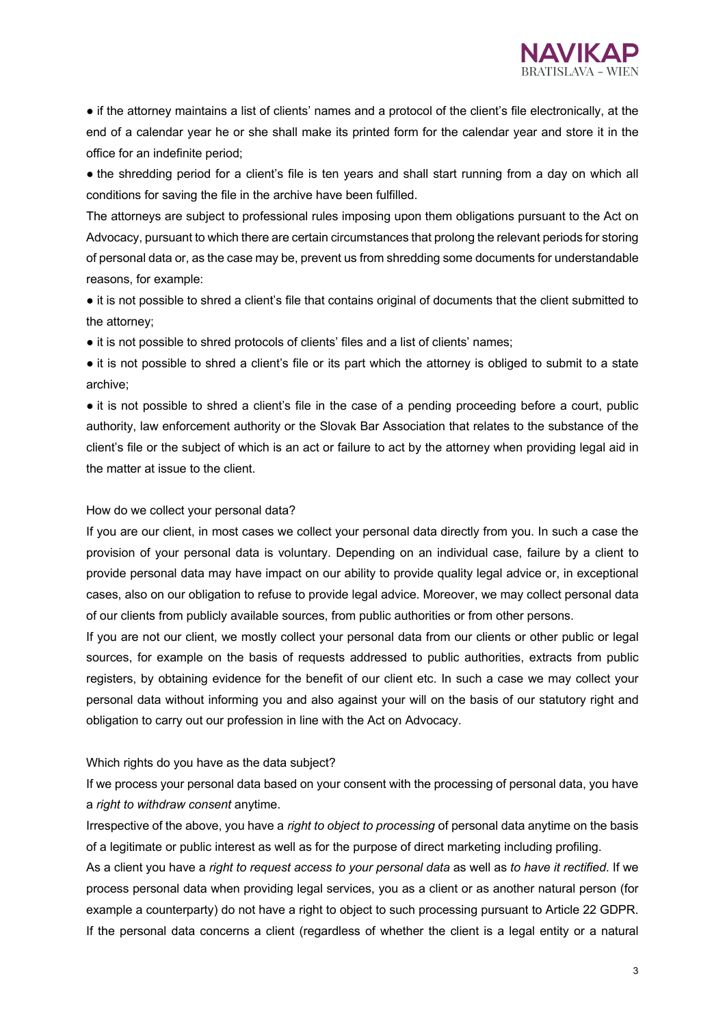

● if the attorney maintains a list of clients' names and a protocol of the client's file electronically, at the end of a calendar year he or she shall make its printed form for the calendar year and store it in the office for an indefinite period;

• the shredding period for a client's file is ten years and shall start running from a day on which all conditions for saving the file in the archive have been fulfilled.

The attorneys are subject to professional rules imposing upon them obligations pursuant to the Act on Advocacy, pursuant to which there are certain circumstances that prolong the relevant periods for storing of personal data or, as the case may be, prevent us from shredding some documents for understandable reasons, for example:

● it is not possible to shred a client's file that contains original of documents that the client submitted to the attorney;

• it is not possible to shred protocols of clients' files and a list of clients' names;

● it is not possible to shred a client's file or its part which the attorney is obliged to submit to a state archive;

• it is not possible to shred a client's file in the case of a pending proceeding before a court, public authority, law enforcement authority or the Slovak Bar Association that relates to the substance of the client's file or the subject of which is an act or failure to act by the attorney when providing legal aid in the matter at issue to the client.

### How do we collect your personal data?

If you are our client, in most cases we collect your personal data directly from you. In such a case the provision of your personal data is voluntary. Depending on an individual case, failure by a client to provide personal data may have impact on our ability to provide quality legal advice or, in exceptional cases, also on our obligation to refuse to provide legal advice. Moreover, we may collect personal data of our clients from publicly available sources, from public authorities or from other persons.

If you are not our client, we mostly collect your personal data from our clients or other public or legal sources, for example on the basis of requests addressed to public authorities, extracts from public registers, by obtaining evidence for the benefit of our client etc. In such a case we may collect your personal data without informing you and also against your will on the basis of our statutory right and obligation to carry out our profession in line with the Act on Advocacy.

### Which rights do you have as the data subject?

If we process your personal data based on your consent with the processing of personal data, you have a *right to withdraw consent* anytime.

Irrespective of the above, you have a *right to object to processing* of personal data anytime on the basis of a legitimate or public interest as well as for the purpose of direct marketing including profiling.

As a client you have a *right to request access to your personal data* as well as *to have it rectified*. If we process personal data when providing legal services, you as a client or as another natural person (for example a counterparty) do not have a right to object to such processing pursuant to Article 22 GDPR. If the personal data concerns a client (regardless of whether the client is a legal entity or a natural